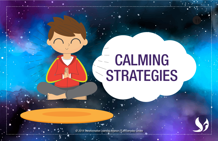## CALMING **STRATEGIES**

*© 2019 Transformative Learning Alliance (TLA) Everyday Circles*